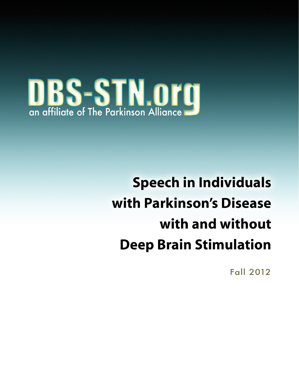

# **Speech in Individuals** with Parkinson's Disease with and without **Deep Brain Stimulation**

**Fall 2012**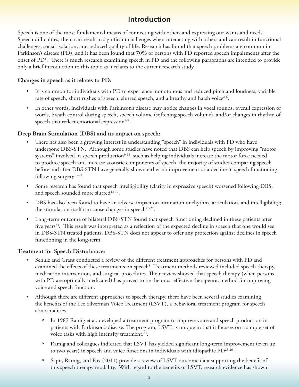# **Introduction**

Speech is one of the most fundamental means of connecting with others and expressing our wants and needs. Speech difficulties, then, can result in significant challenges when interacting with others and can result in functional challenges, social isolation, and reduced quality of life. Research has found that speech problems are common in Parkinson's disease (PD), and it has been found that 70% of persons with PD reported speech impairments after the onset of PD<sup>1</sup>. There is much research examining speech in PD and the following paragraphs are intended to provide only a brief introduction to this topic as it relates to the current research study.

#### **Changes in speech as it relates to PD:**

- It is common for individuals with PD to experience monotonous and reduced pitch and loudness, variable rate of speech, short rushes of speech, slurred speech, and a breathy and harsh voice<sup>2-6</sup>.
- In other words, individuals with Parkinson's disease may notice changes in vocal sounds, overall expression of words, breath control during speech, speech volume (softening speech volume), and/or changes in rhythm of speech that reflect emotional expression<sup>7-8</sup>.

#### **Deep Brain Stimulation (DBS) and its impact on speech:**

- There has also been a growing interest in understanding "speech" in individuals with PD who have undergone DBS-STN. Although some studies have noted that DBS can help speech by improving "motor systems" involved in speech production<sup>9-13</sup>, such as helping individuals increase the motor force needed to produce speech and increase acoustic components of speech, the majority of studies comparing speech before and after DBS-STN have generally shown either no improvement or a decline in speech functioning following surgery<sup>13-21</sup>.
- Some research has found that speech intelligibility (clarity in expressive speech) worsened following DBS, and speech sounded more slurred<sup>13-19</sup>.
- DBS has also been found to have an adverse impact on intonation or rhythm, articulation, and intelligibility; the stimulation itself can cause changes in speech<sup>20-22</sup>.
- Long-term outcome of bilateral DBS-STN found that speech functioning declined in these patients after five years<sup>23</sup>. This result was interpreted as a reflection of the expected decline in speech that one would see in DBS-STN treated patients. DBS-STN does not appear to offer any protection against declines in speech functioning in the long-term.

#### **Treatment for Speech Disturbance:**

- Schulz and Grant conducted a review of the different treatment approaches for persons with PD and examined the effects of these treatments on speech<sup>8</sup>. Treatment methods reviewed included speech therapy, medication intervention, and surgical procedures. Their review showed that speech therapy (when persons with PD are optimally medicated) has proven to be the most effective therapeutic method for improving voice and speech function.
- Although there are different approaches to speech therapy, there have been several studies examining the benefits of the Lee Silverman Voice Treatment (LSVT), a behavioral treatment program for speech abnormalities.
	- º In 1987 Ramig et al. developed a treatment program to improve voice and speech production in patients with Parkinson's disease. The program, LSVT, is unique in that it focuses on a simple set of voice tasks with high intensity treatment.<sup>24</sup>.
	- º Ramig and colleagues indicated that LSVT has yielded significant long-term improvement (even up to two years) in speech and voice functions in individuals with idiopathic PD25-26 .
	- º Sapir, Ramig, and Fox (2011) provide a review of LSVT outcome data supporting the benefit of this speech therapy modality. With regard to the benefits of LSVT, research evidence has shown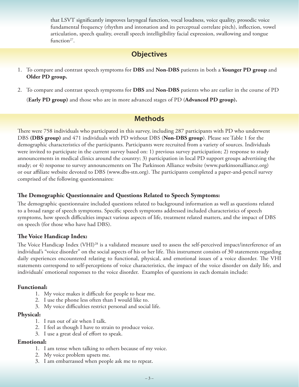that LSVT significantly improves laryngeal function, vocal loudness, voice quality, prosodic voice fundamental frequency (rhythm and intonation and its perceptual correlate pitch), inflection, vowel articulation, speech quality, overall speech intelligibility facial expression, swallowing and tongue function $27$ .

# **Objectives**

- 1. To compare and contrast speech symptoms for **DBS** and **Non-DBS** patients in both a **Younger PD group** and **Older PD group.**
- 2. To compare and contrast speech symptoms for **DBS** and **Non-DBS** patients who are earlier in the course of PD

(**Early PD group)** and those who are in more advanced stages of PD (**Advanced PD group).**

## **Methods**

There were 758 individuals who participated in this survey, including 287 participants with PD who underwent DBS **(DBS group)** and 471 individuals with PD without DBS (**Non-DBS group**). Please see Table 1 for the demographic characteristics of the participants. Participants were recruited from a variety of sources. Individuals were invited to participate in the current survey based on: 1) previous survey participation; 2) response to study announcements in medical clinics around the country; 3) participation in local PD support groups advertising the study; or 4) response to survey announcements on The Parkinson Alliance website (www.parkinsonalliance.org) or our affiliate website devoted to DBS (www.dbs-stn.org). The participants completed a paper-and-pencil survey comprised of the following questionnaires:

#### **The Demographic Questionnaire and Questions Related to Speech Symptoms:**

The demographic questionnaire included questions related to background information as well as questions related to a broad range of speech symptoms. Specific speech symptoms addressed included characteristics of speech symptoms, how speech difficulties impact various aspects of life, treatment related matters, and the impact of DBS on speech (for those who have had DBS).

#### **The Voice Handicap Index:**

The Voice Handicap Index (VHI)<sup>28</sup> is a validated measure used to assess the self-perceived impact/interference of an individual's "voice disorder" on the social aspects of his or her life. This instrument consists of 30 statements regarding daily experiences encountered relating to functional, physical, and emotional issues of a voice disorder. The VHI statements correspond to self-perceptions of voice characteristics, the impact of the voice disorder on daily life, and individuals' emotional responses to the voice disorder. Examples of questions in each domain include:

#### **Functional:**

- 1. My voice makes it difficult for people to hear me.
- 2. I use the phone less often than I would like to.
- 3. My voice difficulties restrict personal and social life.

#### **Physical:**

- 1. I run out of air when I talk.
- 2. I feel as though I have to strain to produce voice.
- 3. I use a great deal of effort to speak.

#### **Emotional:**

- 1. I am tense when talking to others because of my voice.
- 2. My voice problem upsets me.
- 3. I am embarrassed when people ask me to repeat.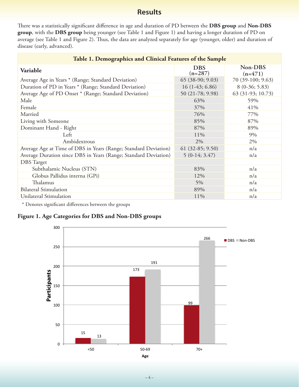# **Results**

There was a statistically significant difference in age and duration of PD between the **DBS group** and **Non-DBS group**, with the **DBS group** being younger (see Table 1 and Figure 1) and having a longer duration of PD on average (see Table 1 and Figure 2). Thus, the data are analyzed separately for age (younger, older) and duration of disease (early, advanced).

| Table 1. Demographics and Clinical Features of the Sample       |                         |                      |  |  |  |
|-----------------------------------------------------------------|-------------------------|----------------------|--|--|--|
| <b>Variable</b>                                                 | <b>DBS</b><br>$(n=287)$ | Non-DBS<br>$(n=471)$ |  |  |  |
| Average Age in Years * (Range; Standard Deviation)              | $65$ (38-90; 9.03)      | 70 (39-100; 9.63)    |  |  |  |
| Duration of PD in Years * (Range; Standard Deviation)           | $16(1-43; 6.86)$        | $8(0-36; 5.83)$      |  |  |  |
| Average Age of PD Onset * (Range; Standard Deviation)           | 50 (21-78; 9.98)        | 63 (31-93; 10.73)    |  |  |  |
| Male                                                            | 63%                     | 59%                  |  |  |  |
| Female                                                          | 37%                     | 41%                  |  |  |  |
| Married                                                         | 76%                     | 77%                  |  |  |  |
| Living with Someone                                             | 85%                     | 87%                  |  |  |  |
| Dominant Hand - Right                                           | 87%                     | 89%                  |  |  |  |
| Left                                                            | 11%                     | 9%                   |  |  |  |
| Ambidextrous                                                    | 2%                      | 2%                   |  |  |  |
| Average Age at Time of DBS in Years (Range; Standard Deviation) | $61$ (32-85; 9.50)      | n/a                  |  |  |  |
| Average Duration since DBS in Years (Range; Standard Deviation) | $5(0-14; 3.47)$         | n/a                  |  |  |  |
| <b>DBS</b> Target                                               |                         |                      |  |  |  |
| Subthalamic Nucleus (STN)                                       | 83%                     | n/a                  |  |  |  |
| Globus Pallidus interna (GPi)                                   | 12%                     | n/a                  |  |  |  |
| Thalamus                                                        | 5%                      | n/a                  |  |  |  |
| <b>Bilateral Stimulation</b>                                    | 89%                     | n/a                  |  |  |  |
| Unilateral Stimulation                                          | 11%                     | n/a                  |  |  |  |

\* Denotes significant differences between the groups

#### **Figure 1. Age Categories for DBS and Non-DBS groups**

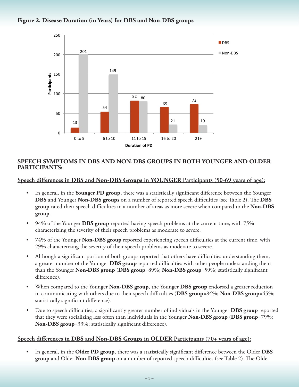



#### **SPEECH SYMPTOMS IN DBS AND NON-DBS GROUPS IN BOTH YOUNGER AND OLDER PARTICIPANTS:**

**Speech differences in DBS and Non-DBS Groups in YOUNGER Participants (50-69 years of age):**

- In general, in the Younger PD group, there was a statistically significant difference between the Younger **DBS** and Younger **Non-DBS groups** on a number of reported speech difficulties (see Table 2). The **DBS group** rated their speech difficulties in a number of areas as more severe when compared to the **Non-DBS group**.
- 94% of the Younger **DBS group** reported having speech problems at the current time, with 75% characterizing the severity of their speech problems as moderate to severe.
- 74% of the Younger **Non-DBS group** reported experiencing speech difficulties at the current time, with 29% characterizing the severity of their speech problems as moderate to severe.
- Although a significant portion of both groups reported that others have difficulties understanding them, a greater number of the Younger **DBS group** reported difficulties with other people understanding them than the Younger **Non-DBS group** (**DBS group**=89%; **Non-DBS group**=59%; statistically significant difference).
- • When compared to the Younger **Non-DBS group**, the Younger **DBS group** endorsed a greater reduction in communicating with others due to their speech difficulties (**DBS group**=84%; **Non-DBS group**=45%; statistically significant difference).
- Due to speech difficulties, a significantly greater number of individuals in the Younger **DBS** group reported that they were socializing less often than individuals in the Younger **Non-DBS group** (**DBS group**=79%; **Non-DBS group**=33%; statistically significant difference).

#### **Speech differences in DBS and Non-DBS Groups in OLDER Participants (70+ years of age):**

In general, in the Older PD group, there was a statistically significant difference between the Older DBS **group** and Older **Non-DBS group** on a number of reported speech difficulties (see Table 2). The Older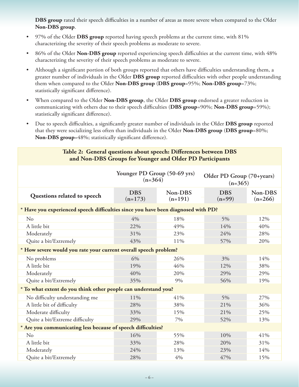**DBS group** rated their speech difficulties in a number of areas as more severe when compared to the Older **Non-DBS group**.

- 97% of the Older **DBS group** reported having speech problems at the current time, with 81% characterizing the severity of their speech problems as moderate to severe.
- 86% of the Older Non-DBS group reported experiencing speech difficulties at the current time, with 48% characterizing the severity of their speech problems as moderate to severe.
- Although a significant portion of both groups reported that others have difficulties understanding them, a greater number of individuals in the Older **DBS group** reported difficulties with other people understanding them when compared to the Older **Non-DBS group** (**DBS group**=95%; **Non-DBS group**=73%; statistically significant difference).
- • When compared to the Older **Non-DBS group**, the Older **DBS group** endorsed a greater reduction in communicating with others due to their speech difficulties (**DBS group**=90%; **Non-DBS group**=59%); statistically significant difference).
- • Due to speech difficulties, a significantly greater number of individuals in the Older **DBS group** reported that they were socializing less often than individuals in the Older **Non-DBS group** (**DBS group**=80%; **Non-DBS group**=48%; statistically significant difference).

#### **Table 2: General questions about speech: Differences between DBS and Non-DBS Groups for Younger and Older PD Participants**

|                                                                                   | Younger PD Group (50-69 yrs)<br>$(n=364)$ |                      | Older PD Group (70+years)<br>$(n=365)$ |                      |  |
|-----------------------------------------------------------------------------------|-------------------------------------------|----------------------|----------------------------------------|----------------------|--|
| Questions related to speech                                                       | <b>DBS</b><br>$(n=173)$                   | Non-DBS<br>$(n=191)$ | <b>DBS</b><br>$(n=99)$                 | Non-DBS<br>$(n=266)$ |  |
| * Have you experienced speech difficulties since you have been diagnosed with PD? |                                           |                      |                                        |                      |  |
| $\rm No$                                                                          | 4%                                        | 18%                  | 5%                                     | 12%                  |  |
| A little bit                                                                      | 22%                                       | 49%                  | 14%                                    | 40%                  |  |
| Moderately                                                                        | 31%                                       | 23%                  | 24%                                    | 28%                  |  |
| Quite a bit/Extremely                                                             | 43%                                       | 11%                  | 57%                                    | 20%                  |  |
| * How severe would you rate your current overall speech problem?                  |                                           |                      |                                        |                      |  |
| No problems                                                                       | 6%                                        | 26%                  | 3%                                     | 14%                  |  |
| A little bit                                                                      | 19%                                       | 46%                  | 12%                                    | 38%                  |  |
| Moderately                                                                        | 40%                                       | 20%                  | 29%                                    | 29%                  |  |
| Quite a bit/Extremely                                                             | 35%                                       | 9%                   | 56%                                    | 19%                  |  |
| * To what extent do you think other people can understand you?                    |                                           |                      |                                        |                      |  |
| No difficulty understanding me                                                    | 11%                                       | 41%                  | $5\%$                                  | 27%                  |  |
| A little bit of difficulty                                                        | 28%                                       | 38%                  | 21%                                    | 36%                  |  |
| Moderate difficulty                                                               | 33%                                       | 15%                  | 21%                                    | 25%                  |  |
| Quite a bit/Extreme difficulty                                                    | 29%                                       | 7%                   | 52%                                    | 13%                  |  |
| * Are you communicating less because of speech difficulties?                      |                                           |                      |                                        |                      |  |
| No                                                                                | 16%                                       | 55%                  | 10%                                    | 41%                  |  |
| A little bit                                                                      | 33%                                       | 28%                  | 20%                                    | 31%                  |  |
| Moderately                                                                        | 24%                                       | 13%                  | 23%                                    | 14%                  |  |
| Quite a bit/Extremely                                                             | 28%                                       | 4%                   | 47%                                    | 15%                  |  |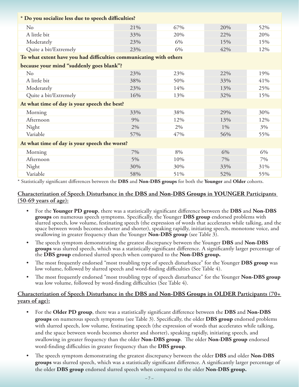| * Do you socialize less due to speech difficulties?                |     |     |       |     |  |
|--------------------------------------------------------------------|-----|-----|-------|-----|--|
| No                                                                 | 21% | 67% | 20%   | 52% |  |
| A little bit                                                       | 33% | 20% | 22%   | 20% |  |
| Moderately                                                         | 23% | 6%  | 15%   | 15% |  |
| Quite a bit/Extremely                                              | 23% | 6%  | 42%   | 12% |  |
| To what extent have you had difficulties communicating with others |     |     |       |     |  |
| because your mind "suddenly goes blank"?                           |     |     |       |     |  |
| N <sub>o</sub>                                                     | 23% | 23% | 22%   | 19% |  |
| A little bit                                                       | 38% | 50% | 33%   | 41% |  |
| Moderately                                                         | 23% | 14% | 13%   | 25% |  |
| Quite a bit/Extremely                                              | 16% | 13% | 32%   | 15% |  |
| At what time of day is your speech the best?                       |     |     |       |     |  |
| Morning                                                            | 33% | 38% | 29%   | 30% |  |
| Afternoon                                                          | 9%  | 12% | 13%   | 12% |  |
| Night                                                              | 2%  | 2%  | $1\%$ | 3%  |  |
| Variable                                                           | 57% | 47% | 56%   | 55% |  |
| At what time of day is your speech the worst?                      |     |     |       |     |  |
| Morning                                                            | 7%  | 8%  | 6%    | 6%  |  |
| Afternoon                                                          | 5%  | 10% | 7%    | 7%  |  |
| Night                                                              | 30% | 30% | 33%   | 31% |  |
| Variable                                                           | 58% | 51% | 52%   | 55% |  |

\* Statistically significant differences between the **DBS** and **Non-DBS groups** for both the **Younger** and **Older** cohorts.

#### **Characterization of Speech Disturbance in the DBS and Non-DBS Groups in YOUNGER Participants (50-69 years of age):**

- For the **Younger PD group**, there was a statistically significant difference between the **DBS** and **Non-DBS groups** on numerous speech symptoms. Specifically, the Younger **DBS group** endorsed problems with slurred speech, low volume, festinating speech (the expression of words that accelerates while talking, and the space between words becomes shorter and shorter), speaking rapidly, initiating speech, monotone voice, and swallowing in greater frequency than the Younger **Non-DBS group** (see Table 3).
- The speech symptom demonstrating the greatest discrepancy between the Younger **DBS** and **Non-DBS groups** was slurred speech, which was a statistically significant difference. A significantly larger percentage of the **DBS group** endorsed slurred speech when compared to the **Non-DBS group.**
- The most frequently endorsed "most troubling type of speech disturbance" for the Younger **DBS group** was low volume, followed by slurred speech and word-finding difficulties (See Table 4).
- The most frequently endorsed "most troubling type of speech disturbance" for the Younger **Non-DBS group** was low volume, followed by word-finding difficulties (See Table 4).

#### **Characterization of Speech Disturbance in the DBS and Non-DBS Groups in OLDER Participants (70+ years of age):**

- For the **Older PD group**, there was a statistically significant difference between the **DBS** and **Non-DBS groups** on numerous speech symptoms (see Table 3). Specifically, the older **DBS group** endorsed problems with slurred speech, low volume, festinating speech (the expression of words that accelerates while talking, and the space between words becomes shorter and shorter), speaking rapidly, initiating speech, and swallowing in greater frequency than the older **Non-DBS group**. The older **Non-DBS group** endorsed word-finding difficulties in greater frequency than the **DBS group**.
- The speech symptom demonstrating the greatest discrepancy between the older **DBS** and older **Non-DBS groups** was slurred speech, which was a statistically significant difference. A significantly larger percentage of the older **DBS group** endorsed slurred speech when compared to the older **Non-DBS group.**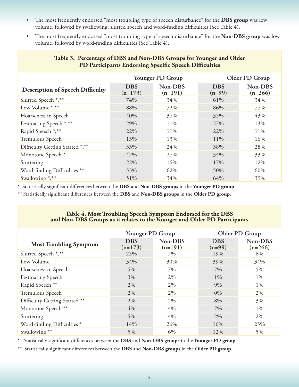- • The most frequently endorsed "most troubling type of speech disturbance" for the **DBS group** was low volume, followed by swallowing, slurred speech and word-finding difficulties (See Table 4).
- • The most frequently endorsed "most troubling type of speech disturbance" for the **Non-DBS group** was low volume, followed by word-finding difficulties (See Table 4).

|                                         | Younger PD Group        |                      | Older PD Group         |                      |
|-----------------------------------------|-------------------------|----------------------|------------------------|----------------------|
| <b>Description of Speech Difficulty</b> | <b>DBS</b><br>$(n=173)$ | Non-DBS<br>$(n=191)$ | <b>DBS</b><br>$(n=99)$ | Non-DBS<br>$(n=266)$ |
| Slurred Speech *,**                     | 74%                     | 34%                  | 61%                    | 34%                  |
| Low Volume *,**                         | 88%                     | 72%                  | 86%                    | 77%                  |
| Hoarseness in Speech                    | 40%                     | 37%                  | 35%                    | 43%                  |
| Festinating Speech *,**                 | 29%                     | 11%                  | 27%                    | 13%                  |
| Rapid Speech *,**                       | 22%                     | 11%                  | 22%                    | 11%                  |
| Tremulous Speech                        | 13%                     | 13%                  | 11%                    | 16%                  |
| Difficulty Getting Started *,**         | 33%                     | 24%                  | 38%                    | 28%                  |
| Monotone Speech <sup>*</sup>            | 47%                     | 27%                  | 34%                    | 33%                  |
| Stuttering                              | 22%                     | 15%                  | 17%                    | 12%                  |
| Word-finding Difficulties **            | 53%                     | 62%                  | 50%                    | 60%                  |
| Swallowing *,**                         | 51%                     | 34%                  | 64%                    | 39%                  |

#### **Table 3. Percentage of DBS and Non-DBS Groups for Younger and Older PD Participants Endorsing Specific Speech Difficulties**

\* Statistically significant differences between the **DBS** and **Non-DBS groups** in the **Younger PD group**.

\*\* Statistically significant differences between the **DBS** and **Non-DBS groups** in the **Older PD group**.

# **Table 4. Most Troubling Speech Symptom Endorsed for the DBS and Non-DBS Groups as it relates to the Younger and Older PD Participants**

|                               | Younger PD Group        |                      |                        | Older PD Group       |
|-------------------------------|-------------------------|----------------------|------------------------|----------------------|
| <b>Most Troubling Symptom</b> | <b>DBS</b><br>$(n=173)$ | Non-DBS<br>$(n=191)$ | <b>DBS</b><br>$(n=99)$ | Non-DBS<br>$(n=266)$ |
| Slurred Speech *,**           | 25%                     | 7%                   | 19%                    | 6%                   |
| Low Volume                    | 34%                     | 30%                  | 39%                    | 34%                  |
| Hoarseness in Speech          | $5\%$                   | 7%                   | 7%                     | 5%                   |
| <b>Festinating Speech</b>     | $3\%$                   | 2%                   | $1\%$                  | $1\%$                |
| Rapid Speech **               | $2\%$                   | 2%                   | 9%                     | $1\%$                |
| Tremulous Speech              | 2%                      | 2%                   | $0\%$                  | 2%                   |
| Difficulty Getting Started ** | 2%                      | 2%                   | 8%                     | 3%                   |
| Monotone Speech **            | 4%                      | 4%                   | 7%                     | $1\%$                |
| Stuttering                    | $5\%$                   | 4%                   | 2%                     | 2%                   |
| Word-finding Difficulties *   | 14%                     | 26%                  | 16%                    | 23%                  |
| Swallowing **                 | 5%                      | 6%                   | 12%                    | 5%                   |

\* Statistically significant differences between the **DBS** and **Non-DBS groups** in the **Younger PD group**.

\*\* Statistically significant differences between the **DBS** and **Non-DBS groups** in the **Older PD group**.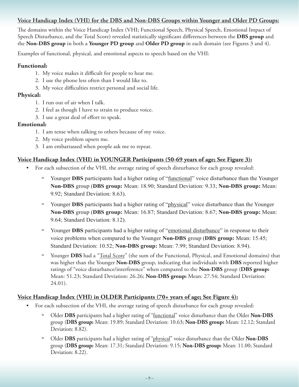#### **Voice Handicap Index (VHI) for the DBS and Non-DBS Groups within Younger and Older PD Groups:**

The domains within the Voice Handicap Index (VHI; Functional Speech, Physical Speech, Emotional Impact of Speech Disturbance, and the Total Score) revealed statistically significant differences between the **DBS group** and the **Non-DBS group** in both a **Younger PD group** and **Older PD group** in each domain (see Figures 3 and 4).

Examples of functional, physical, and emotional aspects to speech based on the VHI:

#### **Functional:**

- 1. My voice makes it difficult for people to hear me.
- 2. I use the phone less often than I would like to.
- 3. My voice difficulties restrict personal and social life.

#### **Physical:**

- 1. I run out of air when I talk.
- 2. I feel as though I have to strain to produce voice.
- 3. I use a great deal of effort to speak.

#### **Emotional:**

- 1. I am tense when talking to others because of my voice.
- 2. My voice problem upsets me.
- 3. I am embarrassed when people ask me to repeat.

#### **Voice Handicap Index (VHI) in YOUNGER Participants (50-69 years of age; See Figure 3):**

- For each subsection of the VHI, the average rating of speech disturbance for each group revealed:
	- º Younger **DBS** participants had a higher rating of "functional" voice disturbance than the Younger **Non-DBS** group (**DBS group:** Mean: 18.90; Standard Deviation: 9.33; **Non-DBS group:** Mean: 9.92; Standard Deviation: 8.63).
	- º Younger **DBS** participants had a higher rating of "physical" voice disturbance than the Younger **Non-DBS** group (**DBS group:** Mean: 16.87; Standard Deviation: 8.67; **Non-DBS group:** Mean: 9.64; Standard Deviation: 8.12).
	- º Younger **DBS** participants had a higher rating of "emotional disturbance" in response to their voice problems when compared to the Younger **Non-DBS** group (**DBS group:** Mean: 15.45; Standard Deviation: 10.52; **Non-DBS group:** Mean: 7.99; Standard Deviation: 8.94).
	- º Younger **DBS** had a "Total Score" (the sum of the Functional, Physical, and Emotional domains) that was higher than the Younger **Non-DBS** group, indicating that individuals with **DBS** reported higher ratings of "voice disturbance/interference" when compared to the **Non-DBS** group (**DBS group:** Mean: 51.23; Standard Deviation: 26.26; **Non-DBS group:** Mean: 27.54; Standard Deviation: 24.01).

#### **Voice Handicap Index (VHI) in OLDER Participants (70+ years of age; See Figure 4):**

- For each subsection of the VHI, the average rating of speech disturbance for each group revealed:
	- Older **DBS** participants had a higher rating of "functional" voice disturbance than the Older **Non-DBS** group (**DBS group:** Mean: 19.89; Standard Deviation: 10.63; **Non-DBS group:** Mean: 12.12; Standard Deviation: 8.82).
	- º Older **DBS** participants had a higher rating of "physical" voice disturbance than the Older **Non-DBS** group (**DBS group:** Mean: 17.31; Standard Deviation: 9.15; **Non-DBS group:** Mean: 11.00; Standard Deviation: 8.22).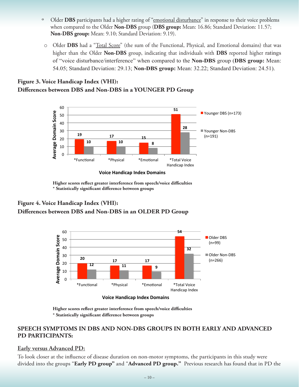- º Older **DBS** participants had a higher rating of "emotional disturbance" in response to their voice problems when compared to the Older **Non-DBS** group (**DBS group:** Mean: 16.86; Standard Deviation: 11.57; **Non-DBS group:** Mean: 9.10; Standard Deviation: 9.19).
- o Older **DBS** had a "Total Score" (the sum of the Functional, Physical, and Emotional domains) that was higher than the Older **Non-DBS** group, indicating that individuals with **DBS** reported higher ratings of "voice disturbance/interference" when compared to the **Non-DBS** group (**DBS group:** Mean: 54.05; Standard Deviation: 29.13; **Non-DBS group:** Mean: 32.22; Standard Deviation: 24.51).

#### **Figure 3. Voice Handicap Index (VHI): Differences between DBS and Non-DBS in a YOUNGER PD Group**



 **Higher scores reflect greater interference from speech/voice difficulties \* Statistically significant difference between groups**

#### **Figure 4. Voice Handicap Index (VHI): Differences between DBS and Non-DBS in an OLDER PD Group**



**Voice Handicap Index Domains** 

 **Higher scores reflect greater interference from speech/voice difficulties \* Statistically significant difference between groups**

#### **SPEECH SYMPTOMS IN DBS AND NON-DBS GROUPS IN BOTH EARLY AND ADVANCED PD PARTICIPANTS:**

#### **Early versus Advanced PD:**

To look closer at the influence of disease duration on non-motor symptoms, the participants in this study were divided into the groups "**Early PD group"** and "**Advanced PD group."** Previous research has found that in PD the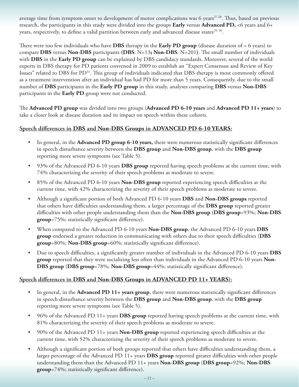average time from symptom onset to development of motor complications was 6 years $27,28$ . Thus, based on previous research, the participants in this study were divided into the groups **Early** versus **Advanced PD,** <6 years and 6+ years, respectively, to define a valid partition between early and advanced disease states<sup>29, 30</sup>.

There were too few individuals who have **DBS** therapy in the **Early PD group** (disease duration of < 6 years) to compare **DBS** versus **Non-DBS** participants **(DBS**: N=13**; Non-DBS**: N=201**)**. The small number of individuals with **DBS** in the **Early PD group** can be explained by DBS candidacy standards. Moreover, several of the world experts in DBS therapy for PD patients convened in 2009 to establish an "Expert Consensus and Review of Key Issues" related to DBS for PD31. This group of individuals indicated that DBS therapy is most commonly offered as a treatment intervention after an individual has had PD for more than 5 years. Consequently, due to the small number of **DBS** participants in the **Early PD group** in this study, analyses comparing **DBS** versus **Non-DBS** participants in the **Early PD** group were not conducted.

The **Advanced PD group** was divided into two groups (**Advanced PD 6-10 years** and **Advanced PD 11+ years**) to take a closer look at disease duration and its impact on speech within these cohorts.

#### **Speech differences in DBS and Non-DBS Groups in ADVANCED PD 6-10 YEARS:**

- • In general, in the **Advanced PD group 6-10 years,** there were numerous statistically significant differences in speech disturbance severity between the **DBS group** and **Non-DBS group**, with the **DBS group**  reporting more severe symptoms (see Table 5).
- 93% of the Advanced PD 6-10 years **DBS group** reported having speech problems at the current time, with 74% characterizing the severity of their speech problems as moderate to severe.
- • 85% of the Advanced PD 6-10 years **Non-DBS group** reported experiencing speech difficulties at the current time, with 42% characterizing the severity of their speech problems as moderate to severe.
- • Although a significant portion of both Advanced PD 6-10 years **DBS** and **Non-DBS groups** reported that others have difficulties understanding them, a larger percentage of the **DBS group** reported greater difficulties with other people understanding them than the **Non-DBS group** (**DBS group**=93%; **Non-DBS group**=75%; statistically significant difference).
- • When compared to the Advanced PD 6-10 years **Non-DBS group**, the Advanced PD 6-10 years **DBS group** endorsed a greater reduction in communicating with others due to their speech difficulties (**DBS group**=80%; **Non-DBS group**=60%; statistically significant difference).
- Due to speech difficulties, a significantly greater number of individuals in the Advanced PD 6-10 years **DBS group** reported that they were socializing less often than individuals in the Advanced PD 6-10 years **Non-DBS group** (**DBS group**=78%; **Non-DBS group**=44%; statistically significant difference).

#### **Speech differences in DBS and Non-DBS Groups in ADVANCED PD 11+ YEARS):**

- In general, in the **Advanced PD 11+ years group**, there were numerous statistically significant differences in speech disturbance severity between the **DBS group** and **Non-DBS group**, with the **DBS group**  reporting more severe symptoms (see Table 5).
- • 96% of the Advanced PD 11+ years **DBS group** reported having speech problems at the current time, with 81% characterizing the severity of their speech problems as moderate to severe.
- • 90% of the Advanced PD 11+ years **Non-DBS group** reported experiencing speech difficulties at the current time, with 52% characterizing the severity of their speech problems as moderate to severe.
- Although a significant portion of both groups reported that others have difficulties understanding them, a larger percentage of the Advanced PD 11+ years **DBS group** reported greater difficulties with other people understanding them than the Advanced PD 11+ years **Non-DBS group** (**DBS group**=92%; **Non-DBS group**=74%; statistically significant difference).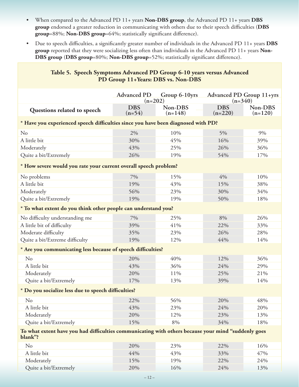- • When compared to the Advanced PD 11+ years **Non-DBS group**, the Advanced PD 11+ years **DBS group** endorsed a greater reduction in communicating with others due to their speech difficulties (**DBS group**=88%; **Non-DBS group**=64%; statistically significant difference).
- • Due to speech difficulties, a significantly greater number of individuals in the Advanced PD 11+ years **DBS group** reported that they were socializing less often than individuals in the Advanced PD 11+ years **Non-DBS group** (**DBS group**=80%; **Non-DBS group**=52%; statistically significant difference).

| Table 5. Speech Symptoms Advanced PD Group 6-10 years versus Advanced<br>PD Group 11+Years: DBS vs. Non-DBS    |                                 |                      |                                              |                      |
|----------------------------------------------------------------------------------------------------------------|---------------------------------|----------------------|----------------------------------------------|----------------------|
|                                                                                                                | <b>Advanced PD</b><br>$(n=202)$ | Group 6-10yrs        | <b>Advanced PD Group 11+yrs</b><br>$(n=340)$ |                      |
| Questions related to speech                                                                                    | <b>DBS</b><br>$(n=54)$          | Non-DBS<br>$(n=148)$ | <b>DBS</b><br>$(n=220)$                      | Non-DBS<br>$(n=120)$ |
| * Have you experienced speech difficulties since you have been diagnosed with PD?                              |                                 |                      |                                              |                      |
| No                                                                                                             | 2%                              | 10%                  | 5%                                           | 9%                   |
| A little bit                                                                                                   | 30%                             | 45%                  | 16%                                          | 39%                  |
| Moderately                                                                                                     | 43%                             | 25%                  | 26%                                          | 36%                  |
| Quite a bit/Extremely                                                                                          | 26%                             | 19%                  | 54%                                          | 17%                  |
| * How severe would you rate your current overall speech problem?                                               |                                 |                      |                                              |                      |
| No problems                                                                                                    | 7%                              | 15%                  | 4%                                           | 10%                  |
| A little bit                                                                                                   | 19%                             | 43%                  | 15%                                          | 38%                  |
| Moderately                                                                                                     | 56%                             | 23%                  | 30%                                          | 34%                  |
| Quite a bit/Extremely                                                                                          | 19%                             | 19%                  | 50%                                          | 18%                  |
| * To what extent do you think other people can understand you?                                                 |                                 |                      |                                              |                      |
| No difficulty understanding me                                                                                 | 7%                              | 25%                  | 8%                                           | 26%                  |
| A little bit of difficulty                                                                                     | 39%                             | 41%                  | 22%                                          | 33%                  |
| Moderate difficulty                                                                                            | 35%                             | 23%                  | 26%                                          | 28%                  |
| Quite a bit/Extreme difficulty                                                                                 | 19%                             | 12%                  | 44%                                          | 14%                  |
| * Are you communicating less because of speech difficulties?                                                   |                                 |                      |                                              |                      |
| No                                                                                                             | 20%                             | 40%                  | 12%                                          | 36%                  |
| A little bit                                                                                                   | 43%                             | 36%                  | 24%                                          | 29%                  |
| Moderately                                                                                                     | 20%                             | 11%                  | 25%                                          | 21%                  |
| Quite a bit/Extremely                                                                                          | 17%                             | 13%                  | 39%                                          | 14%                  |
| * Do you socialize less due to speech difficulties?                                                            |                                 |                      |                                              |                      |
| No                                                                                                             | 22%                             | 56%                  | 20%                                          | 48%                  |
| A little bit                                                                                                   | 43%                             | 23%                  | 24%                                          | 20%                  |
| Moderately                                                                                                     | 20%                             | 12%                  | 23%                                          | 13%                  |
| Quite a bit/Extremely                                                                                          | 15%                             | $8\%$                | 34%                                          | 18%                  |
| To what extent have you had difficulties communicating with others because your mind "suddenly goes<br>blank"? |                                 |                      |                                              |                      |
| No                                                                                                             | 20%                             | 23%                  | 22%                                          | 16%                  |
| A little bit                                                                                                   | 44%                             | 43%                  | 33%                                          | 47%                  |

Moderately 15% 19% 22% 24% Quite a bit/Extremely 20% 16% 24% 13%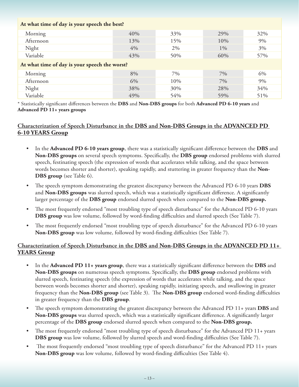#### **At what time of day is your speech the best?**

| Morning                                       | 40% | 33% | 29%   | 32% |  |
|-----------------------------------------------|-----|-----|-------|-----|--|
| Afternoon                                     | 13% | 15% | 10%   | 9%  |  |
| Night                                         | 4%  | 2%  | $1\%$ | 3%  |  |
| Variable                                      | 43% | 50% | 60%   | 57% |  |
| At what time of day is your speech the worst? |     |     |       |     |  |
| Morning                                       | 8%  | 7%  | $7\%$ | 6%  |  |
| Afternoon                                     | 6%  | 10% | 7%    | 9%  |  |
| Night                                         | 38% | 30% | 28%   | 34% |  |
| Variable                                      | 49% | 54% | 59%   | 51% |  |

\* Statistically significant differences between the **DBS** and **Non-DBS groups** for both **Advanced PD 6-10 years** and **Advanced PD 11+ years groups**

#### **Characterization of Speech Disturbance in the DBS and Non-DBS Groups in the ADVANCED PD 6-10 YEARS Group**

- In the **Advanced PD 6-10 years group**, there was a statistically significant difference between the **DBS** and **Non-DBS groups** on several speech symptoms. Specifically, the **DBS group** endorsed problems with slurred speech, festinating speech (the expression of words that accelerates while talking, and the space between words becomes shorter and shorter), speaking rapidly, and stuttering in greater frequency than the **Non-DBS group** (see Table 6).
- The speech symptom demonstrating the greatest discrepancy between the Advanced PD 6-10 years **DBS** and **Non-DBS groups** was slurred speech, which was a statistically significant difference. A significantly larger percentage of the **DBS group** endorsed slurred speech when compared to the **Non-DBS group.**
- The most frequently endorsed "most troubling type of speech disturbance" for the Advanced PD 6-10 years **DBS group** was low volume, followed by word-finding difficulties and slurred speech (See Table 7).
- The most frequently endorsed "most troubling type of speech disturbance" for the Advanced PD 6-10 years **Non-DBS group** was low volume, followed by word-finding difficulties (See Table 7).

#### **Characterization of Speech Disturbance in the DBS and Non-DBS Groups in the ADVANCED PD 11+ YEARS Group**

- In the **Advanced PD 11+ years group**, there was a statistically significant difference between the **DBS** and **Non-DBS groups** on numerous speech symptoms. Specifically, the **DBS group** endorsed problems with slurred speech, festinating speech (the expression of words that accelerates while talking, and the space between words becomes shorter and shorter), speaking rapidly, initiating speech, and swallowing in greater frequency than the **Non-DBS group** (see Table 3). The **Non-DBS group** endorsed word-finding difficulties in greater frequency than the **DBS group**.
- The speech symptom demonstrating the greatest discrepancy between the Advanced PD 11+ years **DBS** and **Non-DBS groups** was slurred speech, which was a statistically significant difference. A significantly larger percentage of the **DBS group** endorsed slurred speech when compared to the **Non-DBS group.**
- The most frequently endorsed "most troubling type of speech disturbance" for the Advanced PD 11+ years **DBS group** was low volume, followed by slurred speech and word-finding difficulties (See Table 7).
- The most frequently endorsed "most troubling type of speech disturbance" for the Advanced PD 11+ years **Non-DBS group** was low volume, followed by word-finding difficulties (See Table 4).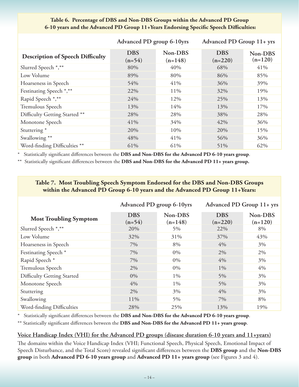|                                         | Advanced PD group 6-10yrs |                      | Advanced PD Group 11+ yrs |                      |
|-----------------------------------------|---------------------------|----------------------|---------------------------|----------------------|
| <b>Description of Speech Difficulty</b> | <b>DBS</b><br>$(n=54)$    | Non-DBS<br>$(n=148)$ | <b>DBS</b><br>$(n=220)$   | Non-DBS<br>$(n=120)$ |
| Slurred Speech *,**                     | 80%                       | 40%                  | 68%                       | 41%                  |
| Low Volume                              | 89%                       | 80%                  | 86%                       | 85%                  |
| Hoarseness in Speech                    | 54%                       | 41%                  | 36%                       | 39%                  |
| Festinating Speech *,**                 | 22%                       | 11%                  | 32%                       | 19%                  |
| Rapid Speech *,**                       | 24%                       | 12%                  | 25%                       | 13%                  |
| Tremulous Speech                        | 13%                       | 14%                  | 13%                       | 17%                  |
| Difficulty Getting Started **           | 28%                       | 28%                  | 38%                       | 28%                  |
| Monotone Speech                         | 41%                       | 34%                  | 42%                       | 36%                  |
| Stuttering <sup>*</sup>                 | 20%                       | 10%                  | 20%                       | 15%                  |
| Swallowing **                           | 48%                       | 41%                  | 56%                       | 36%                  |
| Word-finding Difficulties **            | 61%                       | 61%                  | 51%                       | 62%                  |

#### **Table 6. Percentage of DBS and Non-DBS Groups within the Advanced PD Group 6-10 years and the Advanced PD Group 11+Years Endorsing Specific Speech Difficulties:**

\* Statistically significant differences between the **DBS and Non-DBS for the Advanced PD 6-10 years group**.

\*\* Statistically significant differences between the **DBS and Non-DBS for the Advanced PD 11+ years group.**

#### **Table 7. Most Troubling Speech Symptom Endorsed for the DBS and Non-DBS Groups within the Advanced PD Group 6-10 years and the Advanced PD Group 11+Years:**

|                               | Advanced PD group 6-10yrs |                      | Advanced PD Group 11+ yrs |                      |
|-------------------------------|---------------------------|----------------------|---------------------------|----------------------|
| <b>Most Troubling Symptom</b> | <b>DBS</b><br>$(n=54)$    | Non-DBS<br>$(n=148)$ | <b>DBS</b><br>$(n=220)$   | Non-DBS<br>$(n=120)$ |
| Slurred Speech *,**           | 20%                       | 5%                   | 22%                       | 8%                   |
| Low Volume                    | 32%                       | 31%                  | 37%                       | 43%                  |
| Hoarseness in Speech          | 7%                        | 8%                   | 4%                        | 3%                   |
| Festinating Speech *          | 7%                        | 0%                   | 2%                        | 2%                   |
| Rapid Speech *                | 7%                        | 0%                   | 4%                        | 3%                   |
| Tremulous Speech              | 2%                        | 0%                   | $1\%$                     | 4%                   |
| Difficulty Getting Started    | $0\%$                     | $1\%$                | $5\%$                     | 3%                   |
| Monotone Speech               | 4%                        | $1\%$                | $5\%$                     | 3%                   |
| Stuttering                    | 2%                        | $3\%$                | 4%                        | 3%                   |
| Swallowing                    | 11%                       | 5%                   | 7%                        | 8%                   |
| Word-finding Difficulties     | 28%                       | 25%                  | 13%                       | 19%                  |

Statistically significant differences between the DBS and Non-DBS for the Advanced PD 6-10 years group.

\*\* Statistically significant differences between the **DBS and Non-DBS for the Advanced PD 11+ years group**.

#### **Voice Handicap Index (VHI) for the Advanced PD groups (disease duration 6-10 years and 11+years)**

The domains within the Voice Handicap Index (VHI; Functional Speech, Physical Speech, Emotional Impact of Speech Disturbance, and the Total Score) revealed significant differences between the **DBS group** and the **Non-DBS group** in both **Advanced PD 6-10 years group** and **Advanced PD 11+ years group** (see Figures 3 and 4).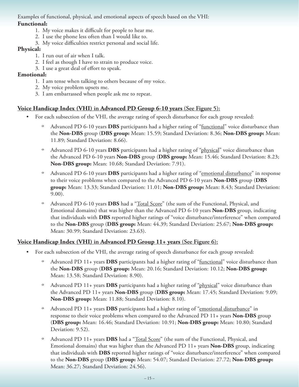#### Examples of functional, physical, and emotional aspects of speech based on the VHI: **Functional:**

- 1. My voice makes it difficult for people to hear me.
- 2. I use the phone less often than I would like to.
- 3. My voice difficulties restrict personal and social life.

#### **Physical:**

- 1. I run out of air when I talk.
- 2. I feel as though I have to strain to produce voice.
- 3. I use a great deal of effort to speak.

#### **Emotional:**

- 1. I am tense when talking to others because of my voice.
- 2. My voice problem upsets me.
- 3. I am embarrassed when people ask me to repeat.

#### **Voice Handicap Index (VHI) in Advanced PD Group 6-10 years (See Figure 5):**

- For each subsection of the VHI, the average rating of speech disturbance for each group revealed:
	- º Advanced PD 6-10 years **DBS** participants had a higher rating of "functional" voice disturbance than the **Non-DBS** group (**DBS group:** Mean: 15.59; Standard Deviation: 8.36; **Non-DBS group:** Mean: 11.89; Standard Deviation: 8.66).
	- º Advanced PD 6-10 years **DBS** participants had a higher rating of "physical" voice disturbance than the Advanced PD 6-10 years **Non-DBS** group (**DBS group:** Mean: 15.46; Standard Deviation: 8.23; **Non-DBS group:** Mean: 10.68; Standard Deviation: 7.91).
	- º Advanced PD 6-10 years **DBS** participants had a higher rating of "emotional disturbance" in response to their voice problems when compared to the Advanced PD 6-10 years **Non-DBS** group (**DBS group:** Mean: 13.33; Standard Deviation: 11.01; **Non-DBS group:** Mean: 8.43; Standard Deviation: 9.00).
	- º Advanced PD 6-10 years **DBS** had a "Total Score" (the sum of the Functional, Physical, and Emotional domains) that was higher than the Advanced PD 6-10 years **Non-DBS** group, indicating that individuals with **DBS** reported higher ratings of "voice disturbance/interference" when compared to the **Non-DBS** group (**DBS group:** Mean: 44.39; Standard Deviation: 25.67; **Non-DBS group:**  Mean: 30.99; Standard Deviation: 23.63).

#### **Voice Handicap Index (VHI) in Advanced PD Group 11+ years (See Figure 6):**

- For each subsection of the VHI, the average rating of speech disturbance for each group revealed:
	- º Advanced PD 11+ years **DBS** participants had a higher rating of "functional" voice disturbance than the **Non-DBS** group (**DBS group:** Mean: 20.16; Standard Deviation: 10.12; **Non-DBS group:**  Mean: 13.58; Standard Deviation: 8.90).
	- º Advanced PD 11+ years **DBS** participants had a higher rating of "physical" voice disturbance than the Advanced PD 11+ years **Non-DBS** group (**DBS group:** Mean: 17.45; Standard Deviation: 9.09; **Non-DBS group:** Mean: 11.88; Standard Deviation: 8.10).
	- <sup>o</sup> Advanced PD 11+ years **DBS** participants had a higher rating of "emotional disturbance" in response to their voice problems when compared to the Advanced PD 11+ years **Non-DBS** group (**DBS group:** Mean: 16.46; Standard Deviation: 10.91; **Non-DBS group:** Mean: 10.80; Standard Deviation: 9.52).
	- º Advanced PD 11+ years **DBS** had a "Total Score" (the sum of the Functional, Physical, and Emotional domains) that was higher than the Advanced PD 11+ years **Non-DBS** group, indicating that individuals with **DBS** reported higher ratings of "voice disturbance/interference" when compared to the **Non-DBS** group (**DBS group:** Mean: 54.07; Standard Deviation: 27.72; **Non-DBS group:**  Mean: 36.27; Standard Deviation: 24.56).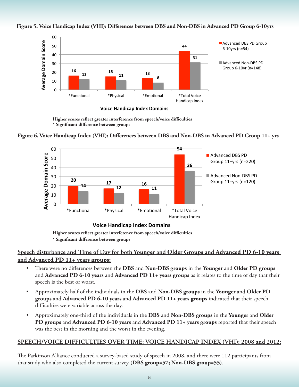

#### **Figure 5. Voice Handicap Index (VHI): Differences between DBS and Non-DBS in Advanced PD Group 6-10yrs**

 **Higher scores reflect greater interference from speech/voice difficulties \* Significant difference between groups**





**Higher scores reflect greater interference from speech/voice difficulties**

 **\* Significant difference between groups**

#### **Speech disturbance and Time of Day for both Younger and Older Groups and Advanced PD 6-10 years and Advanced PD 11+ years groups:**

- There were no differences between the **DBS** and **Non-DBS** groups in the Younger and Older PD groups and **Advanced PD 6-10 years** and **Advanced PD 11+ years groups** as it relates to the time of day that their speech is the best or worst.
- • Approximately half of the individuals in the **DBS** and **Non-DBS groups** in the **Younger** and **Older PD groups** and **Advanced PD 6-10 years** and **Advanced PD 11+ years groups** indicated that their speech difficulties were variable across the day.
- • Approximately one-third of the individuals in the **DBS** and **Non-DBS groups** in the **Younger** and **Older PD groups** and **Advanced PD 6-10 years** and **Advanced PD 11+ years groups** reported that their speech was the best in the morning and the worst in the evening.

#### **SPEECH/VOICE DIFFICULTIES OVER TIME: VOICE HANDICAP INDEX (VHI): 2008 and 2012:**

The Parkinson Alliance conducted a survey-based study of speech in 2008, and there were 112 participants from that study who also completed the current survey **(DBS group=57; Non-DBS group=55)**.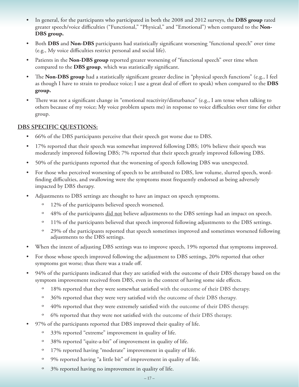- In general, for the participants who participated in both the 2008 and 2012 surveys, the **DBS group** rated greater speech/voice difficulties ("Functional," "Physical," and "Emotional") when compared to the **Non-DBS group.**
- Both **DBS** and **Non-DBS** participants had statistically significant worsening "functional speech" over time (e.g., My voice difficulties restrict personal and social life).
- Patients in the **Non-DBS group** reported greater worsening of "functional speech" over time when compared to the **DBS group**, which was statistically significant.
- The **Non-DBS group** had a statistically significant greater decline in "physical speech functions" (e.g., I feel as though I have to strain to produce voice; I use a great deal of effort to speak) when compared to the **DBS group.**
- There was not a significant change in "emotional reactivity/disturbance" (e.g., I am tense when talking to others because of my voice; My voice problem upsets me) in response to voice difficulties over time for either group.

#### **DBS SPECIFIC QUESTIONS:**

- 66% of the DBS participants perceive that their speech got worse due to DBS.
- 17% reported that their speech was somewhat improved following DBS; 10% believe their speech was moderately improved following DBS; 7% reported that their speech greatly improved following DBS.
- 50% of the participants reported that the worsening of speech following DBS was unexpected.
- For those who perceived worsening of speech to be attributed to DBS, low volume, slurred speech, wordfinding difficulties, and swallowing were the symptoms most frequently endorsed as being adversely impacted by DBS therapy.
- Adjustments to DBS settings are thought to have an impact on speech symptoms.
	- º 12% of the participants believed speech worsened.
	- <sup>o</sup> 48% of the participants <u>did not</u> believe adjustments to the DBS settings had an impact on speech.
	- <sup>o</sup> 11% of the participants believed that speech improved following adjustments to the DBS settings.
	- º 29% of the participants reported that speech sometimes improved and sometimes worsened following adjustments to the DBS settings.
- When the intent of adjusting DBS settings was to improve speech, 19% reported that symptoms improved.
- For those whose speech improved following the adjustment to DBS settings, 20% reported that other symptoms got worse; thus there was a trade off.
- 94% of the participants indicated that they are satisfied with the outcome of their DBS therapy based on the symptom improvement received from DBS, even in the context of having some side effects.
	- <sup>o</sup> 18% reported that they were somewhat satisfied with the outcome of their DBS therapy.
	- <sup>o</sup> 36% reported that they were very satisfied with the outcome of their DBS therapy.
	- º 40% reported that they were extremely satisfied with the outcome of their DBS therapy.
	- º 6% reported that they were not satisfied with the outcome of their DBS therapy.
- 97% of the participants reported that DBS improved their quality of life.
	- º 33% reported "extreme" improvement in quality of life.
	- º 38% reported "quite-a-bit" of improvement in quality of life.
	- º 17% reported having "moderate" improvement in quality of life.
	- º 9% reported having "a little bit" of improvement in quality of life.
	- º 3% reported having no improvement in quality of life.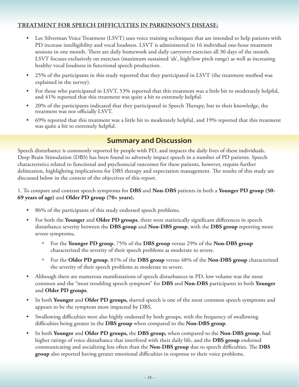#### **TREATMENT FOR SPEECH DIFFICULTIES IN PARKINSON'S DISEASE:**

- Lee Silverman Voice Treatment (LSVT) uses voice training techniques that are intended to help patients with PD increase intelligibility and vocal loudness. LSVT is administered in 16 individual one-hour treatment sessions in one month. There are daily homework and daily carryover exercises all 30 days of the month. LSVT focuses exclusively on exercises (maximum sustained 'ah', high/low pitch range) as well as increasing healthy vocal loudness in functional speech production.
- 25% of the participants in this study reported that they participated in LSVT (the treatment method was explained in the survey).
- For those who participated in LSVT, 53% reported that this treatment was a little bit to moderately helpful, and 41% reported that this treatment was quite a bit to extremely helpful.
- 20% of the participants indicated that they participated in Speech Therapy, but to their knowledge, the treatment was not officially LSVT.
- 69% reported that this treatment was a little bit to moderately helpful, and 19% reported that this treatment was quite a bit to extremely helpful.

# **Summary and Discussion**

Speech disturbance is commonly reported by people with PD, and impacts the daily lives of these individuals. Deep Brain Stimulation (DBS) has been found to adversely impact speech in a number of PD patients. Speech characteristics related to functional and psychosocial outcomes for these patients, however, require further delineation, highlighting implications for DBS therapy and expectation management. The results of this study are discussed below in the context of the objectives of this report.

#### 1. To compare and contrast speech symptoms for **DBS** and **Non-DBS** patients in both a **Younger PD group (50- 69 years of age)** and **Older PD group (70+ years).**

- 86% of the participants of this study endorsed speech problems.
- For both the Younger and Older PD groups, there were statistically significant differences in speech disturbance severity between the **DBS group** and **Non-DBS group**, with the **DBS group** reporting more severe symptoms**.**
	- º For the **Younger PD group**, 75% of the **DBS group** versus 29% of the **Non-DBS group** characterized the severity of their speech problems as moderate to severe.
	- º For the **Older PD group**, 81% of the **DBS group** versus 48% of the **Non-DBS group** characterized the severity of their speech problems as moderate to severe.
- Although there are numerous manifestations of speech disturbances in PD, low volume was the most common and the "most troubling speech symptom" for **DBS** and **Non-DBS** participants in both **Younger** and **Older PD groups**.
- • In both **Younger** and **Older PD groups,** slurred speech is one of the most common speech symptoms and appears to be the symptom most impacted by DBS.
- Swallowing difficulties were also highly endorsed by both groups, with the frequency of swallowing difficulties being greater in the **DBS group** when compared to the **Non-DBS group**.
- In both Younger and Older PD groups, the DBS group, when compared to the Non-DBS group, had higher ratings of voice disturbance that interfered with their daily life, and the **DBS group** endorsed communicating and socializing less often than the **Non-DBS group** due to speech difficulties. The **DBS group** also reported having greater emotional difficulties in response to their voice problems.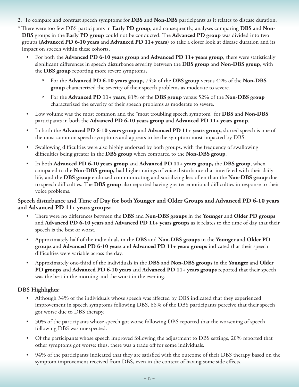- 2. To compare and contrast speech symptoms for **DBS** and **Non-DBS** participants as it relates to disease duration.
- \* There were too few DBS participants in **Early PD group**, and consequently, analyses comparing **DBS** and **Non-DBS** groups in the **Early PD group** could not be conducted. The **Advanced PD group** was divided into two groups (**Advanced PD 6-10 years** and **Advanced PD 11+ years**) to take a closer look at disease duration and its impact on speech within these cohorts.
	- For both the **Advanced PD 6-10 years group** and **Advanced PD 11+ years group**, there were statistically significant differences in speech disturbance severity between the **DBS group** and **Non-DBS group**, with the **DBS group** reporting more severe symptoms**.** 
		- º For the **Advanced PD 6-10 years group**, 74% of the **DBS group** versus 42% of the **Non-DBS group** characterized the severity of their speech problems as moderate to severe.
		- º For the **Advanced PD 11+ years**, 81% of the **DBS group** versus 52% of the **Non-DBS group** characterized the severity of their speech problems as moderate to severe.
	- • Low volume was the most common and the "most troubling speech symptom" for **DBS** and **Non-DBS** participants in both the **Advanced PD 6-10 years group** and **Advanced PD 11+ years group**.
	- In both the **Advanced PD 6-10 years group** and **Advanced PD 11+ years group**, slurred speech is one of the most common speech symptoms and appears to be the symptom most impacted by DBS.
	- Swallowing difficulties were also highly endorsed by both groups, with the frequency of swallowing difficulties being greater in the **DBS group** when compared to the **Non-DBS group**.
	- In both **Advanced PD 6-10 years group** and **Advanced PD 11+ years group,** the **DBS** group, when compared to the **Non-DBS group,** had higher ratings of voice disturbance that interfered with their daily life, and the **DBS group** endorsed communicating and socializing less often than the **Non-DBS group** due to speech difficulties. The **DBS group** also reported having greater emotional difficulties in response to their voice problems.

#### **Speech disturbance and Time of Day for both Younger and Older Groups and Advanced PD 6-10 years and Advanced PD 11+ years groups:**

- • There were no differences between the **DBS** and **Non-DBS groups** in the **Younger** and **Older PD groups**  and **Advanced PD 6-10 years** and **Advanced PD 11+ years groups** as it relates to the time of day that their speech is the best or worst.
- • Approximately half of the individuals in the **DBS** and **Non-DBS groups** in the **Younger** and **Older PD groups** and **Advanced PD 6-10 years** and **Advanced PD 11+ years groups** indicated that their speech difficulties were variable across the day.
- • Approximately one-third of the individuals in the **DBS** and **Non-DBS groups** in the **Younger** and **Older PD groups** and **Advanced PD 6-10 years** and **Advanced PD 11+ years groups** reported that their speech was the best in the morning and the worst in the evening.

#### **DBS Highlights:**

- Although 34% of the individuals whose speech was affected by DBS indicated that they experienced improvement in speech symptoms following DBS, 66% of the DBS participants perceive that their speech got worse due to DBS therapy.
- 50% of the participants whose speech got worse following DBS reported that the worsening of speech following DBS was unexpected.
- Of the participants whose speech improved following the adjustment to DBS settings, 20% reported that other symptoms got worse; thus, there was a trade off for some individuals.
- 94% of the participants indicated that they are satisfied with the outcome of their DBS therapy based on the symptom improvement received from DBS, even in the context of having some side effects.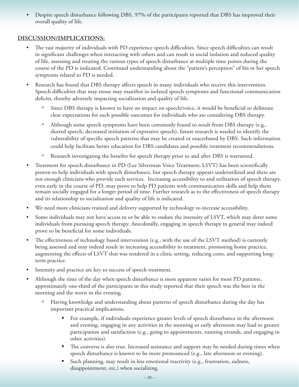Despite speech disturbance following DBS, 97% of the participants reported that DBS has improved their overall quality of life.

#### **DISCUSSION/IMPLICATIONS:**

- The vast majority of individuals with PD experience speech difficulties. Since speech difficulties can result in significant challenges when interacting with others and can result in social isolation and reduced quality of life, assessing and treating the various types of speech disturbance at multiple time points during the course of the PD is indicated. Continued understanding about the "patient's perception" of his or her speech symptoms related to PD is needed.
- Research has found that DBS therapy affects speech in many individuals who receive this intervention. Speech difficulties that may ensue may manifest in isolated speech symptoms and functional communication deficits, thereby adversely impacting socialization and quality of life.
	- Since DBS therapy is known to have an impact on speech/voice, it would be beneficial to delineate clear expectations for such possible outcomes for individuals who are considering DBS therapy.
	- º Although some speech symptoms have been commonly found to result from DBS therapy (e.g., slurred speech, decreased initiation of expressive speech), future research is needed to identify the vulnerability of specific speech patterns that may be created or exacerbated by DBS. Such information could help facilitate better education for DBS candidates and possible treatment recommendations.
	- º Research investigating the benefits for speech therapy prior to and after DBS is warranted.
- Treatment for speech disturbance in PD (Lee Silverman Voice Treatment; LSVT) has been scientifically proven to help individuals with speech disturbance, but speech therapy appears underutilized and there are not enough clinicians who provide such services. Increasing accessibility to and utilization of speech therapy, even early in the course of PD, may prove to help PD patients with communication skills and help them remain socially engaged for a longer period of time. Further research as to the effectiveness of speech therapy and its relationship to socialization and quality of life is indicated.
- We need more clinicians trained and delivery supported by technology to increase accessibility.
- Some individuals may not have access to or be able to endure the intensity of LSVT, which may deter some individuals from pursuing speech therapy. Anecdotally, engaging in speech therapy in general may indeed prove to be beneficial for some individuals.
- The effectiveness of technology based intervention (e.g., with the use of the LSVT method) is currently being assessed and may indeed result in increasing accessibility to treatment, promoting home practice, augmenting the effects of LSVT that was rendered in a clinic setting, reducing costs, and supporting longterm practice.
- Intensity and practice are key to success of speech treatment.
- Although the time of the day when speech disturbance is most apparent varies for most PD patients, approximately one-third of the participants in this study reported that their speech was the best in the morning and the worst in the evening.
	- Having knowledge and understanding about patterns of speech disturbance during the day has important practical implications.
		- For example, if individuals experience greater levels of speech disturbance in the afternoon and evening, engaging in any activities in the morning or early afternoon may lead to greater participation and satisfaction (e.g., going to appointments, running errands, and engaging in other activities).
		- **The converse is also true. Increased assistance and support may be needed during times when** speech disturbance is known to be more pronounced (e.g., late afternoon or evening).
		- Such planning, may result in less emotional reactivity (e.g., frustration, sadness, disappointment, etc.) when socializing.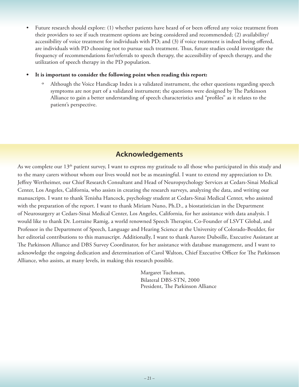- Future research should explore: (1) whether patients have heard of or been offered any voice treatment from their providers to see if such treatment options are being considered and recommended; (2) availability/ accessibility of voice treatment for individuals with PD; and (3) if voice treatment is indeed being offered, are individuals with PD choosing not to pursue such treatment. Thus, future studies could investigate the frequency of recommendations for/referrals to speech therapy, the accessibility of speech therapy, and the utilization of speech therapy in the PD population.
- It is important to consider the following point when reading this report:
	- Although the Voice Handicap Index is a validated instrument, the other questions regarding speech symptoms are not part of a validated instrument; the questions were designed by The Parkinson Alliance to gain a better understanding of speech characteristics and "profiles" as it relates to the patient's perspective.

## **Acknowledgements**

As we complete our 13<sup>th</sup> patient survey, I want to express my gratitude to all those who participated in this study and to the many carers without whom our lives would not be as meaningful. I want to extend my appreciation to Dr. Jeffrey Wertheimer, our Chief Research Consultant and Head of Neuropsychology Services at Cedars-Sinai Medical Center, Los Angeles, California, who assists in creating the research surveys, analyzing the data, and writing our manuscripts. I want to thank Tenisha Hancock, psychology student at Cedars-Sinai Medical Center, who assisted with the preparation of the report. I want to thank Miriam Nuno, Ph.D., a biostatistician in the Department of Neurosurgery at Cedars-Sinai Medical Center, Los Angeles, California, for her assistance with data analysis. I would like to thank Dr. Lorraine Ramig, a world renowned Speech Therapist, Co-Founder of LSVT Global, and Professor in the Department of Speech, Language and Hearing Science at the University of Colorado-Boulder, for her editorial contributions to this manuscript. Additionally, I want to thank Aurore Duboille, Executive Assistant at The Parkinson Alliance and DBS Survey Coordinator, for her assistance with database management, and I want to acknowledge the ongoing dedication and determination of Carol Walton, Chief Executive Officer for The Parkinson Alliance, who assists, at many levels, in making this research possible.

> Margaret Tuchman, Bilateral DBS-STN, 2000 President, The Parkinson Alliance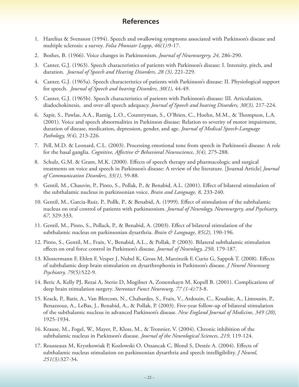#### **References**

- 1. Harelius & Svensson (1994). Speech and swallowing symptoms associated with Parkinson's disease and multiple sclerosis: a survey. *Folia Phoniatr Logop*, *46(1):*9-17.
- 2. Boshes, B. (1966). Voice changes in Parkinsonism. *Journal of Neurosurgery, 24,* 286-290.
- 3. Canter, G.J. (1963). Speech characteristics of patients with Parkinson's disease: I. Intensity, pitch, and duration. *Journal of Speech and Hearing Disorders, 28 (3),* 221-229.
- 4. Canter, G.J. (1965a). Speech characteristics of patients with Parkinson's disease: II. Physiological support for speech. *Journal of Speech and hearing Disorders, 30(1),* 44-49.
- 5. Canter, G.J. (1965b). Speech characteristics of patients with Parkinson's disease: III. Articulation, diadochokinesis, and over-all speech adequacy. *Journal of Speech and hearing Disorders, 30(3),* 217-224.
- 6. Sapir, S., Pawlas, A.A., Ramig, L.O., Countryman, S., O'Brien, C., Hoehn, M.M., & Thompson, L.A. (2001). Voice and speech abnormalities in Parkinson disease: Relation to severity of motor impairment, duration of disease, medication, depression, gender, and age. *Journal of Medical Speech-Language Pathology, 9(4),* 213-226*.*
- 7. Pell, M.D. & Leonard, C.L. (2003). Processing emotional tone from speech in Parkinson's disease: A role for the basal ganglia. *Cognitive, Affective & Behavioral Neuroscience, 3(4),* 275-288.
- 8. Schulz, G.M. & Grant, M.K. (2000). Effects of speech therapy and pharmacologic and surgical treatments on voice and speech in Parkinson's disease: A review of the literature. [Journal Article] *Journal of Communication Disorders, 33(1),* 59-88.
- 9. Gentil, M., Chauvin, P., Pinto, S., Pollak, P., & Benabid, A.L. (2001). Effect of bilateral stimulation of the subthalamic nucleus in parkinsonian voice. *Brain and Language, 8,* 233-240.
- 10. Gentil, M., Garcia-Ruiz, P., Pollk, P., & Benabid, A. (1999). Effect of stimulation of the subthalamic nucleus on oral control of patients with parkinsonism. *Journal of Neurology, Neurosurgery, and Psychiatry, 67,* 329-333.
- 11. Gentil, M., Pinto, S., Pollack, P., & Benabid, A. (2003). Effect of bilateral stimulation of the subthalamic nucleus on parkinsonian dysarthria. *Brain & Language, 85(2),* 190-196*.*
- 12. Pinto, S., Gentil, M., Fraix, V., Benabid, A.L., & Pollak, P. (2003). Bilateral subthalamic stimulation effects on oral force control in Parkinson's disease. *Journal of Neurology, 250*, 179-187.
- 13. Klostermann F, Ehlen F, Vesper J, Nubel K, Gross M, Marzinzik F, Curio G, Sappok T. (2008). Effects of subthalamic deep brain stimulation on dysarthrophonia in Parkinson's disease. *J Neurol Neurosurg Psychiatry, 79(5):*522-9.
- 14. Beric A, Kelly PJ, Rezai A, Sterio D, Mogilner A, Zonenshayn M, Kopell B. (2001). Complications of deep brain stimulation surgery. *Stereotact Funct Neurosurg, 77 (1-4):*73-8.
- 15. Krack, P., Batir, A., Van Blercom, N., Chabardes, S., Fraix, V., Ardouin, C., Koudsie, A., Limousin, P., Benazzouz, A., LeBas, J., Benabid, A., & Pollak, P. (2003). Five-year follow-up of bilateral stimulation of the subthalamic nucleus in advanced Parkinson's disease. *New England Journal of Medicine, 349 (20),*  1925-1934.
- 16. Krause, M., Fogel, W., Mayer, P., Kloss, M., & Tronnier, V. (2004). Chronic inhibition of the subthalamic nucleus in Parkinson's disease. *Journal of the Neurological Sciences, 219,* 119-124.
- 17. Rousseaux M, Krystkowiak P, Kozlowski O, Ozsancak C, Blond S, Destée A. (2004). Effects of subthalamic nucleus stimulation on parkinsonian dysarthria and speech intelligibility. *J Neurol, 251(3):*327-34.